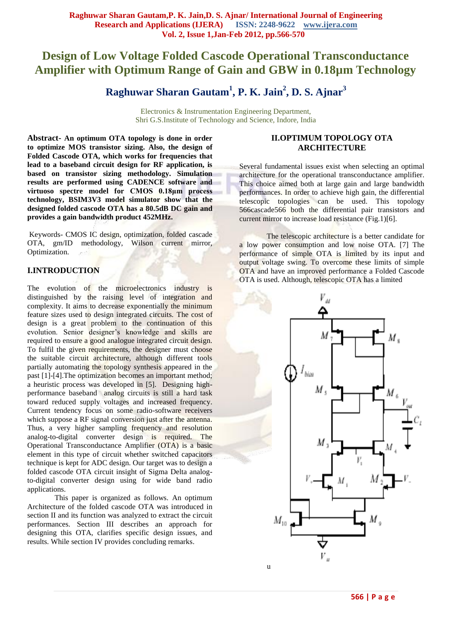# **Design of Low Voltage Folded Cascode Operational Transconductance Amplifier with Optimum Range of Gain and GBW in 0.18µm Technology**

# **Raghuwar Sharan Gautam<sup>1</sup> , P. K. Jain<sup>2</sup> , D. S. Ajnar<sup>3</sup>**

Electronics & Instrumentation Engineering Department, Shri G.S.Institute of Technology and Science, Indore, India

**Abstract- An optimum OTA topology is done in order to optimize MOS transistor sizing. Also, the design of Folded Cascode OTA, which works for frequencies that lead to a baseband circuit design for RF application, is based on transistor sizing methodology. Simulation results are performed using CADENCE software and virtuoso spectre model for CMOS 0.18μm process technology, BSIM3V3 model simulator show that the designed folded cascode OTA has a 80.5dB DC gain and provides a gain bandwidth product 452MHz.**

Keywords- CMOS IC design, optimization, folded cascade OTA, gm/ID methodology, Wilson current mirror, Optimization.

# **I.INTRODUCTION**

The evolution of the microelectronics industry is distinguished by the raising level of integration and complexity. It aims to decrease exponentially the minimum feature sizes used to design integrated circuits. The cost of design is a great problem to the continuation of this evolution. Senior designer's knowledge and skills are required to ensure a good analogue integrated circuit design. To fulfil the given requirements, the designer must choose the suitable circuit architecture, although different tools partially automating the topology synthesis appeared in the past [1]-[4].The optimization becomes an important method; a heuristic process was developed in [5]. Designing highperformance baseband analog circuits is still a hard task toward reduced supply voltages and increased frequency. Current tendency focus on some radio-software receivers which suppose a RF signal conversion just after the antenna. Thus, a very higher sampling frequency and resolution analog-to-digital converter design is required. The Operational Transconductance Amplifier (OTA) is a basic element in this type of circuit whether switched capacitors technique is kept for ADC design. Our target was to design a folded cascode OTA circuit insight of Sigma Delta analogto-digital converter design using for wide band radio applications.

This paper is organized as follows. An optimum Architecture of the folded cascode OTA was introduced in section II and its function was analyzed to extract the circuit performances. Section III describes an approach for designing this OTA, clarifies specific design issues, and results. While section IV provides concluding remarks.

#### **II.OPTIMUM TOPOLOGY OTA ARCHITECTURE**

Several fundamental issues exist when selecting an optimal architecture for the operational transconductance amplifier. This choice aimed both at large gain and large bandwidth performances. In order to achieve high gain, the differential telescopic topologies can be used. This topology 566cascade566 both the differential pair transistors and current mirror to increase load resistance (Fig.1)[6].

The telescopic architecture is a better candidate for a low power consumption and low noise OTA. [7] The performance of simple OTA is limited by its input and output voltage swing. To overcome these limits of simple OTA and have an improved performance a Folded Cascode OTA is used. Although, telescopic OTA has a limited

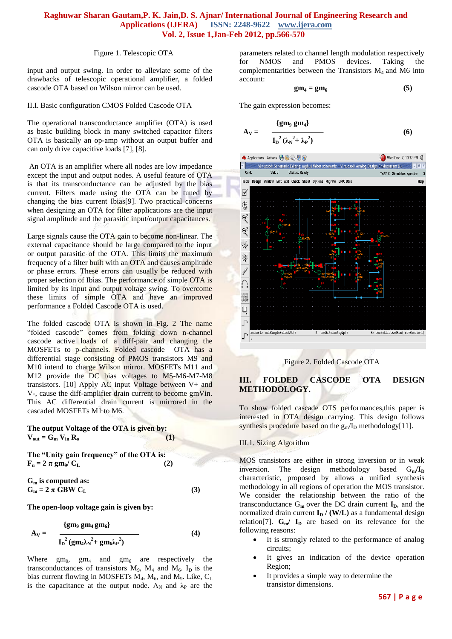#### Figure 1. Telescopic OTA

input and output swing. In order to alleviate some of the drawbacks of telescopic operational amplifier, a folded cascode OTA based on Wilson mirror can be used.

#### II.I. Basic configuration CMOS Folded Cascode OTA

The operational transconductance amplifier (OTA) is used as basic building block in many switched capacitor filters OTA is basically an op-amp without an output buffer and can only drive capacitive loads [7], [8].

An OTA is an amplifier where all nodes are low impedance except the input and output nodes. A useful feature of OTA is that its transconductance can be adjusted by the bias current. Filters made using the OTA can be tuned by changing the bias current Ibias[9]. Two practical concerns when designing an OTA for filter applications are the input signal amplitude and the parasitic input/output capacitances.

Large signals cause the OTA gain to become non-linear. The external capacitance should be large compared to the input or output parasitic of the OTA. This limits the maximum frequency of a filter built with an OTA and causes amplitude or phase errors. These errors can usually be reduced with proper selection of Ibias. The performance of simple OTA is limited by its input and output voltage swing. To overcome these limits of simple OTA and have an improved performance a Folded Cascode OTA is used.

The folded cascode OTA is shown in Fig. 2 The name "folded cascode" comes from folding down n-channel cascode active loads of a diff-pair and changing the MOSFETs to p-channels. Folded cascode OTA has a differential stage consisting of PMOS transistors M9 and M10 intend to charge Wilson mirror. MOSFETs M11 and M12 provide the DC bias voltages to M5-M6-M7-M8 transistors. [10] Apply AC input Voltage between  $V+$  and V-, cause the diff-amplifier drain current to become gmVin. This AC differential drain current is mirrored in the cascaded MOSFETs M1 to M6.

**The output Voltage of the OTA is given by:**   $V_{\text{out}} = G_{\text{m}} V_{\text{in}} R_{\text{o}}$  (1)

**The "Unity gain frequency" of the OTA is:**   $\mathbf{F}_{\mathbf{u}} = 2 \pi \mathbf{g} \mathbf{m}_{9} / C_{L}$  (2)

**G<sup>m</sup> is computed as:**  $G_m = 2 \pi \text{ GBW C_L}$  (3)

**The open-loop voltage gain is given by:** 

$$
A_V = \frac{\{gm_9 \, gm_4 \, gm_6\}}{I_D{}^2 \left(gm_4 \lambda_N{}^2 + gm_6 \lambda_P{}^2\right)}
$$
(4)

Where  $gm_9$ ,  $gm_4$  and  $gm_6$  are respectively the transconductances of transistors  $M_9$ ,  $M_4$  and  $M_6$ . I<sub>D</sub> is the bias current flowing in MOSFETs  $M_4$ ,  $M_6$ , and  $M_9$ . Like,  $C_L$ is the capacitance at the output node.  $\Lambda_N$  and  $\lambda_P$  are the

parameters related to channel length modulation respectively for NMOS and PMOS devices. Taking the complementarities between the Transistors  $M_4$  and  $\overline{M6}$  into account:

$$
gm_4 = gm_6 \tag{5}
$$

The gain expression becomes:

$$
A_V = \frac{\{gm_9 \, gm_4\}}{I_D{}^2 (\lambda_N{}^2 + \lambda_P{}^2)}
$$
 (6)



Figure 2. Folded Cascode OTA

# **III. FOLDED CASCODE OTA DESIGN METHODOLOGY.**

To show folded cascade OTS performances,this paper is interested in OTA design carrying. This design follows synthesis procedure based on the  $g_m/I_D$  methodology[11].

#### III.1. Sizing Algorithm

MOS transistors are either in strong inversion or in weak inversion. The design methodology based  $G_m / I_D$ characteristic, proposed by allows a unified synthesis methodology in all regions of operation the MOS transistor. We consider the relationship between the ratio of the transconductance  $G_m$  over the DC drain current  $I_p$ , and the normalized drain current  $I_D$  / (W/L) as a fundamental design relation<sup>[7]</sup>.  $G_m / I_D$  are based on its relevance for the following reasons:

- It is strongly related to the performance of analog circuits;
- It gives an indication of the device operation Region;
- It provides a simple way to determine the transistor dimensions.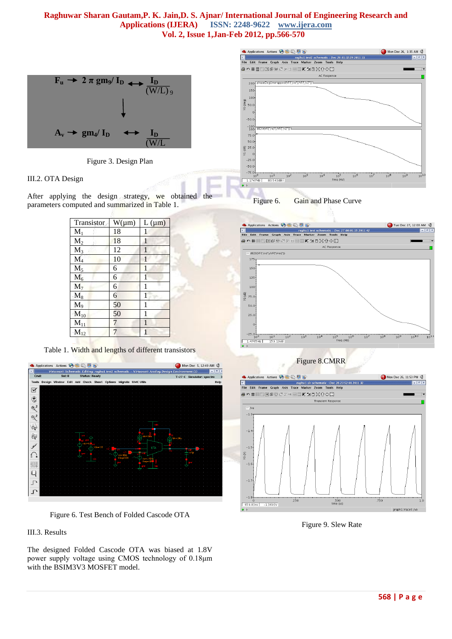

Figure 3. Design Plan

### III.2. OTA Design

After applying the design strategy, we obtained the parameters computed and summarized in Table 1.

| Transistor          | $W(\mu m)$ | $L(\mu m)$   |
|---------------------|------------|--------------|
| $M_1$               | 18         | 1            |
| $M_2$               | 18         | 1            |
| $\overline{M}_3$    | 12         | 1            |
| $\mathbf{M}_4$      | 10         |              |
| $\rm M_5$           | 6          | 1            |
| $M_6$               | 6          | 1            |
| $\overline{M_7}$    | 6          | 1            |
| $M_8$               | 6          | 1            |
| $M_9$               | 50         | 1            |
| $M_{10}$            | 50         | 1            |
| $M_{11}$            | 7          | $\mathbf{1}$ |
| $\overline{M}_{12}$ | 7          |              |

Table 1. Width and lengths of different transistors



Figure 6. Test Bench of Folded Cascode OTA

# III.3. Results

The designed Folded Cascode OTA was biased at 1.8V power supply voltage using CMOS technology of 0.18μm with the BSIM3V3 MOSFET model.









Figure 9. Slew Rate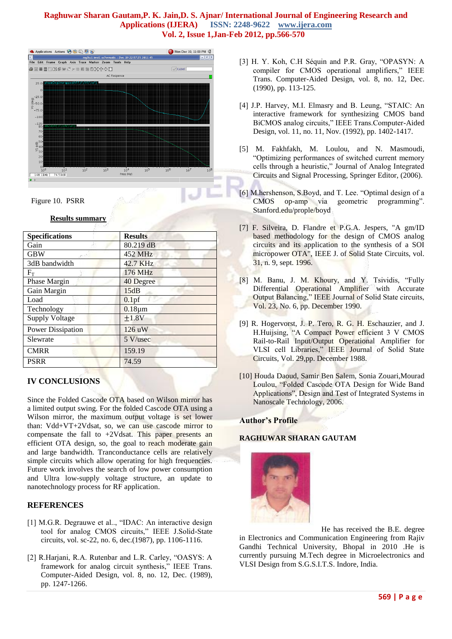

Figure 10. PSRR

### **Results summary**

| <b>Specifications</b>    | <b>Results</b>    |  |
|--------------------------|-------------------|--|
| Gain                     | 80.219 dB         |  |
| <b>GBW</b>               | 452 MHz           |  |
| 3dB bandwidth            | 42.7 KHz          |  |
| $F_{\rm T}$              | 176 MHz           |  |
| Phase Margin             | 40 Degree         |  |
| Gain Margin              | 15dB              |  |
| Load                     | 0.1 <sub>pf</sub> |  |
| Technology               | $0.18 \mu m$      |  |
| <b>Supply Voltage</b>    | ±1.8V             |  |
| <b>Power Dissipation</b> | 126 uW            |  |
| Slewrate                 | 5 V/usec          |  |
| <b>CMRR</b>              | 159.19            |  |
| PSRR                     | 74.59             |  |

# **IV CONCLUSIONS**

Since the Folded Cascode OTA based on Wilson mirror has a limited output swing. For the folded Cascode OTA using a Wilson mirror, the maximum output voltage is set lower than: Vdd+VT+2Vdsat, so, we can use cascode mirror to compensate the fall to +2Vdsat. This paper presents an efficient OTA design, so, the goal to reach moderate gain and large bandwidth. Tranconductance cells are relatively simple circuits which allow operating for high frequencies. Future work involves the search of low power consumption and Ultra low-supply voltage structure, an update to nanotechnology process for RF application.

# **REFERENCES**

- [1] M.G.R. Degrauwe et al.., "IDAC: An interactive design tool for analog CMOS circuits," IEEE J.Solid-State circuits, vol. sc-22, no. 6, dec.(1987), pp. 1106-1116.
- [2] R.Harjani, R.A. Rutenbar and L.R. Carley, "OASYS: A framework for analog circuit synthesis," IEEE Trans. Computer-Aided Design, vol. 8, no. 12, Dec. (1989), pp. 1247-1266.
- [3] H. Y. Koh, C.H Séquin and P.R. Gray, "OPASYN: A compiler for CMOS operational amplifiers," IEEE Trans. Computer-Aided Design, vol. 8, no. 12, Dec. (1990), pp. 113-125.
- [4] J.P. Harvey, M.I. Elmasry and B. Leung, "STAIC: An interactive framework for synthesizing CMOS band BiCMOS analog circuits," IEEE Trans.Computer-Aided Design, vol. 11, no. 11, Nov. (1992), pp. 1402-1417.
- [5] M. Fakhfakh, M. Loulou, and N. Masmoudi, "Optimizing performances of switched current memory cells through a heuristic," Journal of Analog Integrated Circuits and Signal Processing, Springer Editor, (2006).
- [6] M.hershenson, S.Boyd, and T. Lee. "Optimal design of a CMOS op-amp via geometric programming". Stanford.edu/prople/boyd
- [7] F. Silveira, D. Flandre et P.G.A. Jespers, "A gm/ID based methodology for the design of CMOS analog circuits and its application to the synthesis of a SOI micropower OTA", IEEE J. of Solid State Circuits, vol. 31, n. 9, sept. 1996.
- [8] M. Banu, J. M. Khoury, and Y. Tsividis, "Fully Differential Operational Amplifier with Accurate Output Balancing," IEEE Journal of Solid State circuits, Vol. 23, No. 6, pp. December 1990.
- [9] R. Hogervorst, J. P. Tero, R. G. H. Eschauzier, and J. H.Huijsing, "A Compact Power efficient 3 V CMOS Rail-to-Rail Input/Output Operational Amplifier for VLSI cell Libraries," IEEE Journal of Solid State Circuits, Vol. 29,pp. December 1988.
- [10] Houda Daoud, Samir Ben Salem, Sonia Zouari,Mourad Loulou, "Folded Cascode OTA Design for Wide Band Applications", Design and Test of Integrated Systems in Nanoscale Technology, 2006.

# **Author's Profile**

# **RAGHUWAR SHARAN GAUTAM**



He has received the B.E. degree in Electronics and Communication Engineering from Rajiv Gandhi Technical University, Bhopal in 2010 .He is currently pursuing M.Tech degree in Microelectronics and VLSI Design from S.G.S.I.T.S. Indore, India.